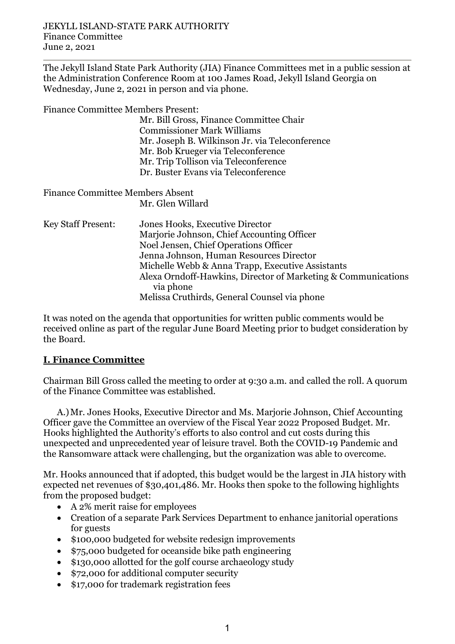The Jekyll Island State Park Authority (JIA) Finance Committees met in a public session at the Administration Conference Room at 100 James Road, Jekyll Island Georgia on Wednesday, June 2, 2021 in person and via phone.

Finance Committee Members Present:

Mr. Bill Gross, Finance Committee Chair Commissioner Mark Williams Mr. Joseph B. Wilkinson Jr. via Teleconference Mr. Bob Krueger via Teleconference Mr. Trip Tollison via Teleconference Dr. Buster Evans via Teleconference

Finance Committee Members Absent Mr. Glen Willard

Key Staff Present: Jones Hooks, Executive Director Marjorie Johnson, Chief Accounting Officer Noel Jensen, Chief Operations Officer Jenna Johnson, Human Resources Director Michelle Webb & Anna Trapp, Executive Assistants Alexa Orndoff-Hawkins, Director of Marketing & Communications via phone Melissa Cruthirds, General Counsel via phone

It was noted on the agenda that opportunities for written public comments would be received online as part of the regular June Board Meeting prior to budget consideration by the Board.

## **I. Finance Committee**

Chairman Bill Gross called the meeting to order at 9:30 a.m. and called the roll. A quorum of the Finance Committee was established.

A.)Mr. Jones Hooks, Executive Director and Ms. Marjorie Johnson, Chief Accounting Officer gave the Committee an overview of the Fiscal Year 2022 Proposed Budget. Mr. Hooks highlighted the Authority's efforts to also control and cut costs during this unexpected and unprecedented year of leisure travel. Both the COVID-19 Pandemic and the Ransomware attack were challenging, but the organization was able to overcome.

Mr. Hooks announced that if adopted, this budget would be the largest in JIA history with expected net revenues of \$30,401,486. Mr. Hooks then spoke to the following highlights from the proposed budget:

- A 2% merit raise for employees
- Creation of a separate Park Services Department to enhance janitorial operations for guests
- \$100,000 budgeted for website redesign improvements
- \$75,000 budgeted for oceanside bike path engineering
- \$130,000 allotted for the golf course archaeology study
- \$72,000 for additional computer security
- \$17,000 for trademark registration fees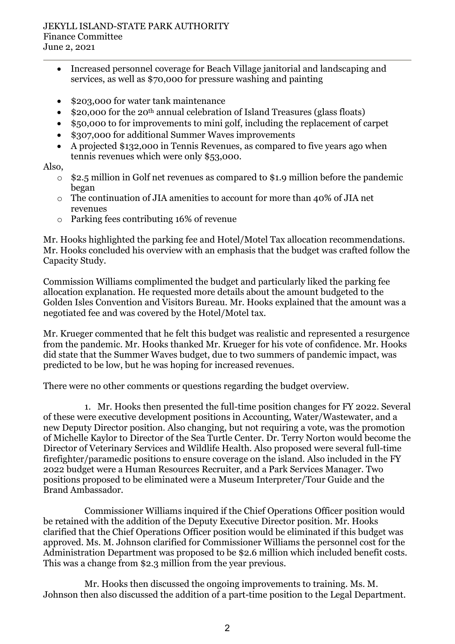## JEKYLL ISLAND-STATE PARK AUTHORITY Finance Committee June 2, 2021

- Increased personnel coverage for Beach Village janitorial and landscaping and services, as well as \$70,000 for pressure washing and painting
- \$203,000 for water tank maintenance
- \$20,000 for the 20<sup>th</sup> annual celebration of Island Treasures (glass floats)
- \$50,000 to for improvements to mini golf, including the replacement of carpet
- \$307,000 for additional Summer Waves improvements
- A projected \$132,000 in Tennis Revenues, as compared to five years ago when tennis revenues which were only \$53,000.

## Also,

- o \$2.5 million in Golf net revenues as compared to \$1.9 million before the pandemic began
- $\circ$  The continuation of JIA amenities to account for more than 40% of JIA net revenues
- o Parking fees contributing 16% of revenue

Mr. Hooks highlighted the parking fee and Hotel/Motel Tax allocation recommendations. Mr. Hooks concluded his overview with an emphasis that the budget was crafted follow the Capacity Study.

Commission Williams complimented the budget and particularly liked the parking fee allocation explanation. He requested more details about the amount budgeted to the Golden Isles Convention and Visitors Bureau. Mr. Hooks explained that the amount was a negotiated fee and was covered by the Hotel/Motel tax.

Mr. Krueger commented that he felt this budget was realistic and represented a resurgence from the pandemic. Mr. Hooks thanked Mr. Krueger for his vote of confidence. Mr. Hooks did state that the Summer Waves budget, due to two summers of pandemic impact, was predicted to be low, but he was hoping for increased revenues.

There were no other comments or questions regarding the budget overview.

1. Mr. Hooks then presented the full-time position changes for FY 2022. Several of these were executive development positions in Accounting, Water/Wastewater, and a new Deputy Director position. Also changing, but not requiring a vote, was the promotion of Michelle Kaylor to Director of the Sea Turtle Center. Dr. Terry Norton would become the Director of Veterinary Services and Wildlife Health. Also proposed were several full-time firefighter/paramedic positions to ensure coverage on the island. Also included in the FY 2022 budget were a Human Resources Recruiter, and a Park Services Manager. Two positions proposed to be eliminated were a Museum Interpreter/Tour Guide and the Brand Ambassador.

Commissioner Williams inquired if the Chief Operations Officer position would be retained with the addition of the Deputy Executive Director position. Mr. Hooks clarified that the Chief Operations Officer position would be eliminated if this budget was approved. Ms. M. Johnson clarified for Commissioner Williams the personnel cost for the Administration Department was proposed to be \$2.6 million which included benefit costs. This was a change from \$2.3 million from the year previous.

Mr. Hooks then discussed the ongoing improvements to training. Ms. M. Johnson then also discussed the addition of a part-time position to the Legal Department.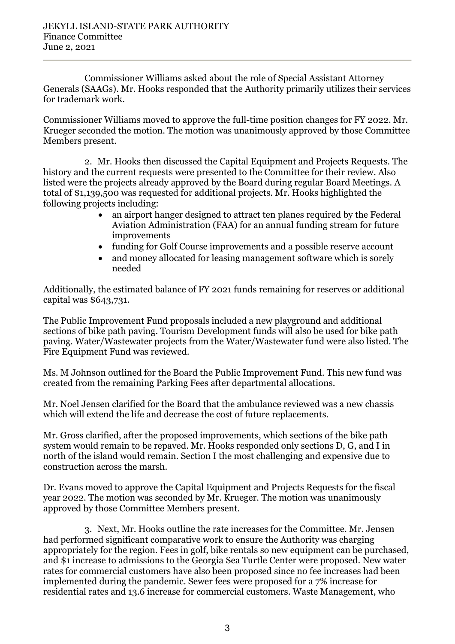Commissioner Williams asked about the role of Special Assistant Attorney Generals (SAAGs). Mr. Hooks responded that the Authority primarily utilizes their services for trademark work.

Commissioner Williams moved to approve the full-time position changes for FY 2022. Mr. Krueger seconded the motion. The motion was unanimously approved by those Committee Members present.

2. Mr. Hooks then discussed the Capital Equipment and Projects Requests. The history and the current requests were presented to the Committee for their review. Also listed were the projects already approved by the Board during regular Board Meetings. A total of \$1,139,500 was requested for additional projects. Mr. Hooks highlighted the following projects including:

- an airport hanger designed to attract ten planes required by the Federal Aviation Administration (FAA) for an annual funding stream for future improvements
- funding for Golf Course improvements and a possible reserve account
- and money allocated for leasing management software which is sorely needed

Additionally, the estimated balance of FY 2021 funds remaining for reserves or additional capital was \$643,731.

The Public Improvement Fund proposals included a new playground and additional sections of bike path paving. Tourism Development funds will also be used for bike path paving. Water/Wastewater projects from the Water/Wastewater fund were also listed. The Fire Equipment Fund was reviewed.

Ms. M Johnson outlined for the Board the Public Improvement Fund. This new fund was created from the remaining Parking Fees after departmental allocations.

Mr. Noel Jensen clarified for the Board that the ambulance reviewed was a new chassis which will extend the life and decrease the cost of future replacements.

Mr. Gross clarified, after the proposed improvements, which sections of the bike path system would remain to be repaved. Mr. Hooks responded only sections D, G, and I in north of the island would remain. Section I the most challenging and expensive due to construction across the marsh.

Dr. Evans moved to approve the Capital Equipment and Projects Requests for the fiscal year 2022. The motion was seconded by Mr. Krueger. The motion was unanimously approved by those Committee Members present.

3. Next, Mr. Hooks outline the rate increases for the Committee. Mr. Jensen had performed significant comparative work to ensure the Authority was charging appropriately for the region. Fees in golf, bike rentals so new equipment can be purchased, and \$1 increase to admissions to the Georgia Sea Turtle Center were proposed. New water rates for commercial customers have also been proposed since no fee increases had been implemented during the pandemic. Sewer fees were proposed for a 7% increase for residential rates and 13.6 increase for commercial customers. Waste Management, who